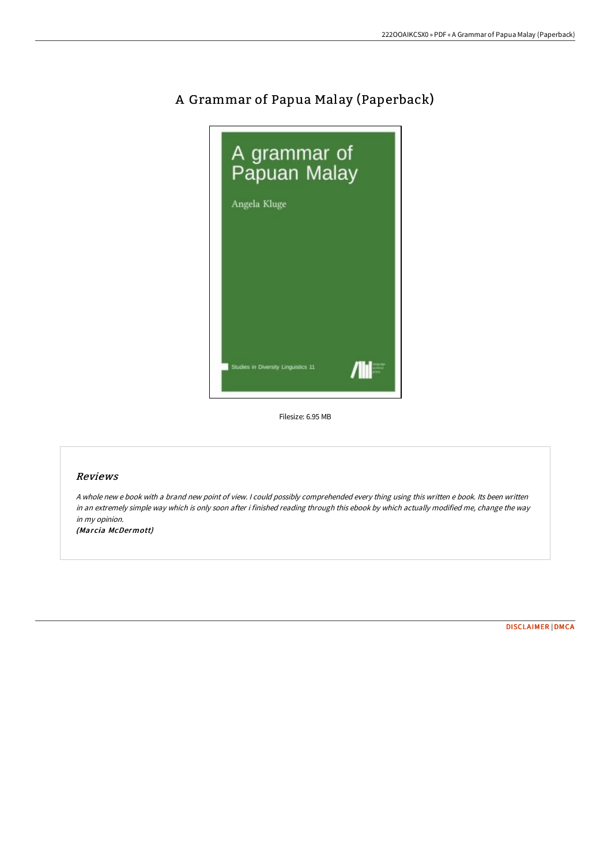

## A Grammar of Papua Malay (Paperback)

Filesize: 6.95 MB

## Reviews

<sup>A</sup> whole new <sup>e</sup> book with <sup>a</sup> brand new point of view. <sup>I</sup> could possibly comprehended every thing using this written <sup>e</sup> book. Its been written in an extremely simple way which is only soon after i finished reading through this ebook by which actually modified me, change the way in my opinion.

(Marcia McDermott)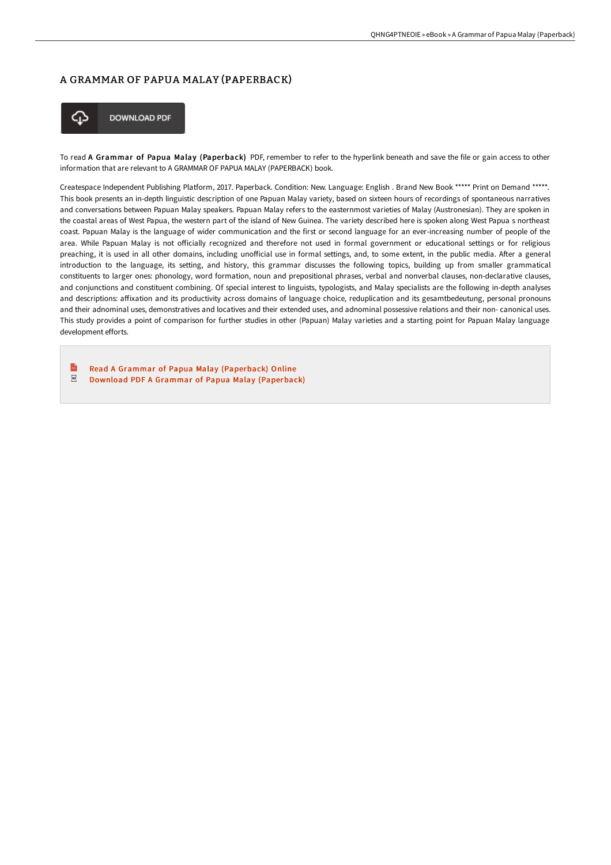## A GRAMMAR OF PAPUA MALAY (PAPERBACK)



**DOWNLOAD PDF** 

To read A Grammar of Papua Malay (Paperback) PDF, remember to refer to the hyperlink beneath and save the file or gain access to other information that are relevant to A GRAMMAR OF PAPUA MALAY (PAPERBACK) book.

Createspace Independent Publishing Platform, 2017. Paperback. Condition: New. Language: English . Brand New Book \*\*\*\*\* Print on Demand \*\*\*\*\*. This book presents an in-depth linguistic description of one Papuan Malay variety, based on sixteen hours of recordings of spontaneous narratives and conversations between Papuan Malay speakers. Papuan Malay refers to the easternmost varieties of Malay (Austronesian). They are spoken in the coastal areas of West Papua, the western part of the island of New Guinea. The variety described here is spoken along West Papua s northeast coast. Papuan Malay is the language of wider communication and the first or second language for an ever-increasing number of people of the area. While Papuan Malay is not officially recognized and therefore not used in formal government or educational settings or for religious preaching, it is used in all other domains, including unofficial use in formal settings, and, to some extent, in the public media. After a general introduction to the language, its setting, and history, this grammar discusses the following topics, building up from smaller grammatical constituents to larger ones: phonology, word formation, noun and prepositional phrases, verbal and nonverbal clauses, non-declarative clauses, and conjunctions and constituent combining. Of special interest to linguists, typologists, and Malay specialists are the following in-depth analyses and descriptions: affixation and its productivity across domains of language choice, reduplication and its gesamtbedeutung, personal pronouns and their adnominal uses, demonstratives and locatives and their extended uses, and adnominal possessive relations and their non- canonical uses. This study provides a point of comparison for further studies in other (Papuan) Malay varieties and a starting point for Papuan Malay language development efforts.

 $\mathbb{R}$ Read A Grammar of Papua Malay [\(Paperback\)](http://techno-pub.tech/a-grammar-of-papua-malay-paperback.html) Online  $_{\rm PDF}$ Download PDF A Grammar of Papua Malay [\(Paperback\)](http://techno-pub.tech/a-grammar-of-papua-malay-paperback.html)